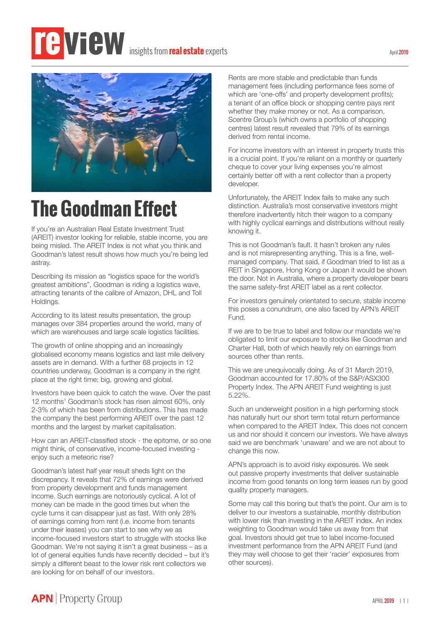# insights from**real estate** experts



# **The Goodman Effect**

If you're an Australian Real Estate Investment Trust (AREIT) investor looking for reliable, stable income, you are being misled. The AREIT Index is not what you think and Goodman's latest result shows how much you're being led astray.

Describing its mission as "logistics space for the world's greatest ambitions", Goodman is riding a logistics wave, attracting tenants of the calibre of Amazon, DHL and Toll Holdings.

According to its latest results presentation, the group manages over 384 properties around the world, many of which are warehouses and large scale logistics facilities.

The growth of online shopping and an increasingly globalised economy means logistics and last mile delivery assets are in demand. With a further 68 projects in 12 countries underway, Goodman is a company in the right place at the right time; big, growing and global.

Investors have been quick to catch the wave. Over the past 12 months<sup>1</sup> Goodman's stock has risen almost 60%, only 2-3% of which has been from distributions. This has made the company the best performing AREIT over the past 12 months and the largest by market capitalisation.

How can an AREIT-classified stock - the epitome, or so one might think, of conservative, income-focused investing enjoy such a meteoric rise?

Goodman's latest half year result sheds light on the discrepancy. It reveals that 72% of earnings were derived from property development and funds management income. Such earnings are notoriously cyclical. A lot of money can be made in the good times but when the cycle turns it can disappear just as fast. With only 28% of earnings coming from rent (i.e. income from tenants under their leases) you can start to see why we as income-focused investors start to struggle with stocks like Goodman. We're not saying it isn't a great business – as a lot of general equities funds have recently decided – but it's simply a different beast to the lower risk rent collectors we are looking for on behalf of our investors.

Rents are more stable and predictable than funds management fees (including performance fees some of which are 'one-offs' and property development profits); a tenant of an office block or shopping centre pays rent whether they make money or not. As a comparison, Scentre Group's (which owns a portfolio of shopping centres) latest result revealed that 79% of its earnings derived from rental income.

For income investors with an interest in property trusts this is a crucial point. If you're reliant on a monthly or quarterly cheque to cover your living expenses you're almost certainly better off with a rent collector than a property developer.

Unfortunately, the AREIT Index fails to make any such distinction. Australia's most conservative investors might therefore inadvertently hitch their wagon to a company with highly cyclical earnings and distributions without really knowing it.

This is not Goodman's fault. It hasn't broken any rules and is not misrepresenting anything. This is a fine, wellmanaged company. That said, if Goodman tried to list as a REIT in Singapore, Hong Kong or Japan it would be shown the door. Not in Australia, where a property developer bears the same safety-first AREIT label as a rent collector.

For investors genuinely orientated to secure, stable income this poses a conundrum, one also faced by APN's AREIT Fund.

If we are to be true to label and follow our mandate we're obligated to limit our exposure to stocks like Goodman and Charter Hall, both of which heavily rely on earnings from sources other than rents.

This we are unequivocally doing. As of 31 March 2019, Goodman accounted for 17.80% of the S&P/ASX300 Property Index. The APN AREIT Fund weighting is just 5.22%.

Such an underweight position in a high performing stock has naturally hurt our short term total return performance when compared to the AREIT Index. This does not concern us and nor should it concern our investors. We have always said we are benchmark 'unaware' and we are not about to change this now.

APN's approach is to avoid risky exposures. We seek out passive property investments that deliver sustainable income from good tenants on long term leases run by good quality property managers.

Some may call this boring but that's the point. Our aim is to deliver to our investors a sustainable, monthly distribution with lower risk than investing in the AREIT index. An index weighting to Goodman would take us away from that goal. Investors should get true to label income-focused investment performance from the APN AREIT Fund (and they may well choose to get their 'racier' exposures from other sources).

#### April 2019